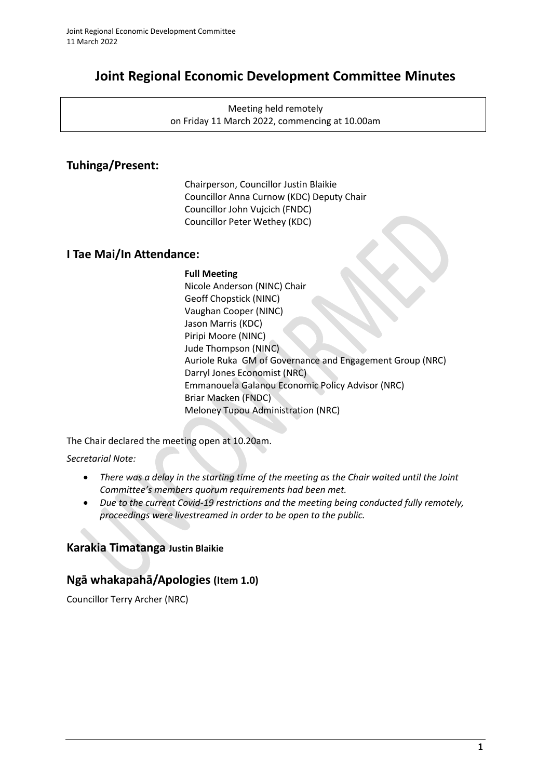# **Joint Regional Economic Development Committee Minutes**

Meeting held remotely on Friday 11 March 2022, commencing at 10.00am

# **Tuhinga/Present:**

Chairperson, Councillor Justin Blaikie Councillor Anna Curnow (KDC) Deputy Chair Councillor John Vujcich (FNDC) Councillor Peter Wethey (KDC)

## **I Tae Mai/In Attendance:**

## **Full Meeting**

Nicole Anderson (NINC) Chair Geoff Chopstick (NINC) Vaughan Cooper (NINC) Jason Marris (KDC) Piripi Moore (NINC) Jude Thompson (NINC) Auriole Ruka GM of Governance and Engagement Group (NRC) Darryl Jones Economist (NRC) Emmanouela Galanou Economic Policy Advisor (NRC) Briar Macken (FNDC) Meloney Tupou Administration (NRC)

The Chair declared the meeting open at 10.20am.

*Secretarial Note:* 

- *There was a delay in the starting time of the meeting as the Chair waited until the Joint Committee's members quorum requirements had been met.*
- *Due to the current Covid-19 restrictions and the meeting being conducted fully remotely, proceedings were livestreamed in order to be open to the public.*

# **Karakia Timatanga Justin Blaikie**

# **Ngā whakapahā/Apologies (Item 1.0)**

Councillor Terry Archer (NRC)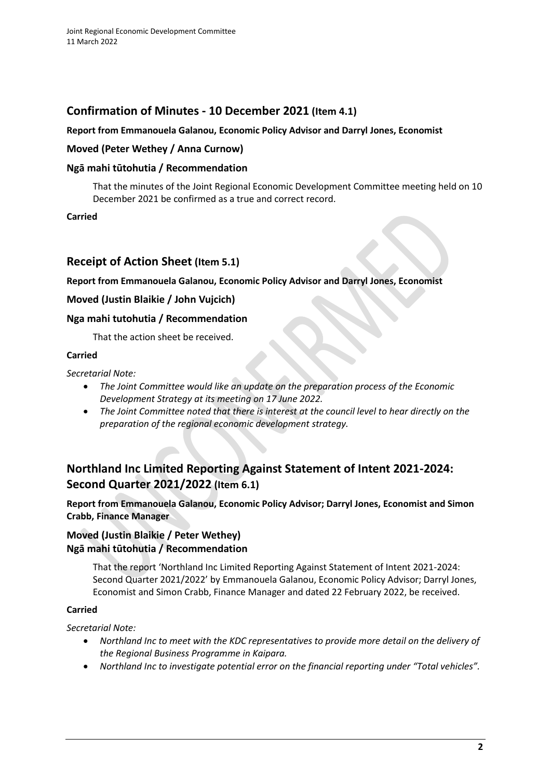# **Confirmation of Minutes - 10 December 2021 (Item 4.1)**

## **Report from Emmanouela Galanou, Economic Policy Advisor and Darryl Jones, Economist**

## **Moved (Peter Wethey / Anna Curnow)**

## **Ngā mahi tūtohutia / Recommendation**

That the minutes of the Joint Regional Economic Development Committee meeting held on 10 December 2021 be confirmed as a true and correct record.

**Carried**

## **Receipt of Action Sheet (Item 5.1)**

**Report from Emmanouela Galanou, Economic Policy Advisor and Darryl Jones, Economist**

## **Moved (Justin Blaikie / John Vujcich)**

## **Nga mahi tutohutia / Recommendation**

That the action sheet be received.

## **Carried**

*Secretarial Note:* 

- *The Joint Committee would like an update on the preparation process of the Economic Development Strategy at its meeting on 17 June 2022.*
- *The Joint Committee noted that there is interest at the council level to hear directly on the preparation of the regional economic development strategy.*

# **Northland Inc Limited Reporting Against Statement of Intent 2021-2024: Second Quarter 2021/2022 (Item 6.1)**

**Report from Emmanouela Galanou, Economic Policy Advisor; Darryl Jones, Economist and Simon Crabb, Finance Manager**

## **Moved (Justin Blaikie / Peter Wethey) Ngā mahi tūtohutia / Recommendation**

That the report 'Northland Inc Limited Reporting Against Statement of Intent 2021-2024: Second Quarter 2021/2022' by Emmanouela Galanou, Economic Policy Advisor; Darryl Jones, Economist and Simon Crabb, Finance Manager and dated 22 February 2022, be received.

## **Carried**

*Secretarial Note:* 

- *Northland Inc to meet with the KDC representatives to provide more detail on the delivery of the Regional Business Programme in Kaipara.*
- *Northland Inc to investigate potential error on the financial reporting under "Total vehicles".*